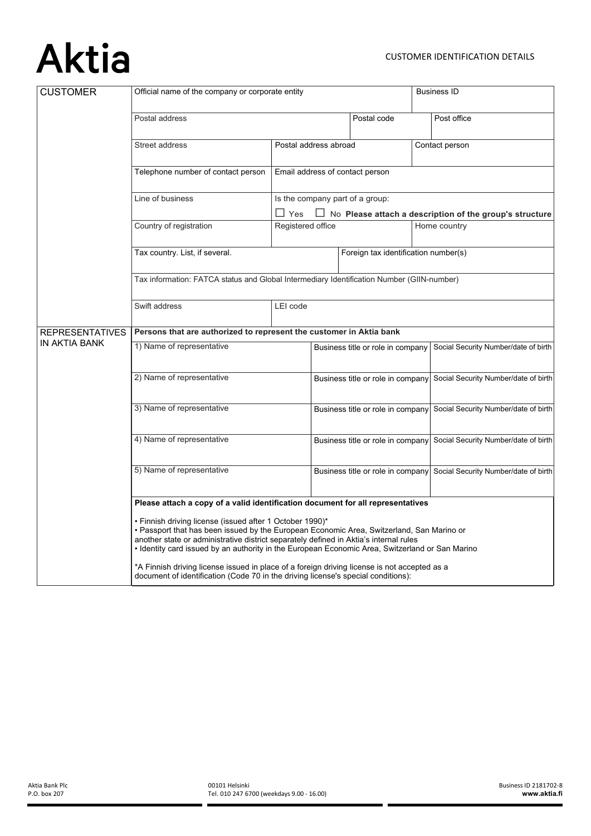## **Aktia**

| <b>CUSTOMER</b>        | Official name of the company or corporate entity                                                                                                                                                                                                                                                                                                  |                                         |                                                                                                   | <b>Business ID</b> |                                      |                                      |
|------------------------|---------------------------------------------------------------------------------------------------------------------------------------------------------------------------------------------------------------------------------------------------------------------------------------------------------------------------------------------------|-----------------------------------------|---------------------------------------------------------------------------------------------------|--------------------|--------------------------------------|--------------------------------------|
|                        | Postal address                                                                                                                                                                                                                                                                                                                                    |                                         | Postal code                                                                                       |                    | Post office                          |                                      |
|                        | Street address                                                                                                                                                                                                                                                                                                                                    | Contact person<br>Postal address abroad |                                                                                                   |                    |                                      |                                      |
|                        | Telephone number of contact person                                                                                                                                                                                                                                                                                                                | Email address of contact person         |                                                                                                   |                    |                                      |                                      |
|                        | Line of business                                                                                                                                                                                                                                                                                                                                  | Yes                                     | Is the company part of a group:<br>$\Box$ No Please attach a description of the group's structure |                    |                                      |                                      |
|                        | Country of registration                                                                                                                                                                                                                                                                                                                           |                                         | Home country<br>Registered office                                                                 |                    |                                      |                                      |
|                        | Tax country. List, if several.                                                                                                                                                                                                                                                                                                                    |                                         | Foreign tax identification number(s)                                                              |                    |                                      |                                      |
|                        | Tax information: FATCA status and Global Intermediary Identification Number (GIIN-number)                                                                                                                                                                                                                                                         |                                         |                                                                                                   |                    |                                      |                                      |
|                        | Swift address                                                                                                                                                                                                                                                                                                                                     | LEI code                                |                                                                                                   |                    |                                      |                                      |
| <b>REPRESENTATIVES</b> | Persons that are authorized to represent the customer in Aktia bank                                                                                                                                                                                                                                                                               |                                         |                                                                                                   |                    |                                      |                                      |
| IN AKTIA BANK          | 1) Name of representative                                                                                                                                                                                                                                                                                                                         |                                         | Business title or role in company                                                                 |                    | Social Security Number/date of birth |                                      |
|                        | 2) Name of representative                                                                                                                                                                                                                                                                                                                         |                                         | Business title or role in company                                                                 |                    |                                      | Social Security Number/date of birth |
|                        | 3) Name of representative                                                                                                                                                                                                                                                                                                                         |                                         | Business title or role in company                                                                 |                    |                                      | Social Security Number/date of birth |
|                        | 4) Name of representative                                                                                                                                                                                                                                                                                                                         |                                         | Business title or role in company                                                                 |                    |                                      | Social Security Number/date of birth |
|                        | 5) Name of representative                                                                                                                                                                                                                                                                                                                         |                                         | Business title or role in company                                                                 |                    |                                      | Social Security Number/date of birth |
|                        | Please attach a copy of a valid identification document for all representatives                                                                                                                                                                                                                                                                   |                                         |                                                                                                   |                    |                                      |                                      |
|                        | • Finnish driving license (issued after 1 October 1990)*<br>• Passport that has been issued by the European Economic Area, Switzerland, San Marino or<br>another state or administrative district separately defined in Aktia's internal rules<br>. Identity card issued by an authority in the European Economic Area, Switzerland or San Marino |                                         |                                                                                                   |                    |                                      |                                      |
|                        | *A Finnish driving license issued in place of a foreign driving license is not accepted as a<br>document of identification (Code 70 in the driving license's special conditions):                                                                                                                                                                 |                                         |                                                                                                   |                    |                                      |                                      |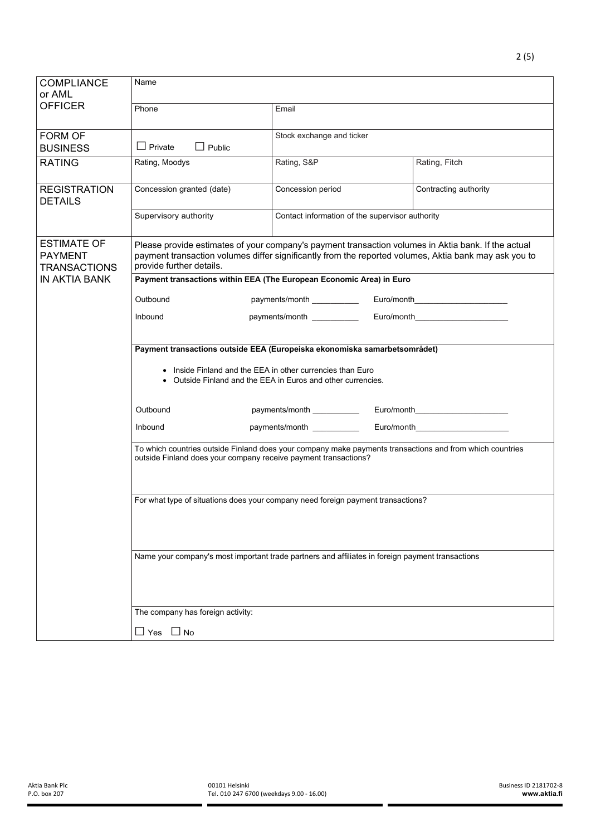| <b>COMPLIANCE</b><br>or AML                                 | Name                                                                                                                                                                                                                                     |                                                 |  |                                     |  |
|-------------------------------------------------------------|------------------------------------------------------------------------------------------------------------------------------------------------------------------------------------------------------------------------------------------|-------------------------------------------------|--|-------------------------------------|--|
| <b>OFFICER</b>                                              | Phone                                                                                                                                                                                                                                    | Email                                           |  |                                     |  |
| <b>FORM OF</b><br><b>BUSINESS</b>                           | $\Box$ Public<br>$\Box$ Private                                                                                                                                                                                                          | Stock exchange and ticker                       |  |                                     |  |
| <b>RATING</b>                                               | Rating, Moodys                                                                                                                                                                                                                           | Rating, S&P<br>Rating, Fitch                    |  |                                     |  |
| <b>REGISTRATION</b><br><b>DETAILS</b>                       | Concession granted (date)                                                                                                                                                                                                                | Concession period                               |  | Contracting authority               |  |
|                                                             | Supervisory authority                                                                                                                                                                                                                    | Contact information of the supervisor authority |  |                                     |  |
| <b>ESTIMATE OF</b><br><b>PAYMENT</b><br><b>TRANSACTIONS</b> | Please provide estimates of your company's payment transaction volumes in Aktia bank. If the actual<br>payment transaction volumes differ significantly from the reported volumes, Aktia bank may ask you to<br>provide further details. |                                                 |  |                                     |  |
| <b>IN AKTIA BANK</b>                                        | Payment transactions within EEA (The European Economic Area) in Euro                                                                                                                                                                     |                                                 |  |                                     |  |
|                                                             | Outbound<br>payments/month<br>Euro/month__________________________                                                                                                                                                                       |                                                 |  |                                     |  |
|                                                             | Inbound                                                                                                                                                                                                                                  | payments/month ___________                      |  | Euro/month                          |  |
|                                                             | Payment transactions outside EEA (Europeiska ekonomiska samarbetsområdet)<br>Inside Finland and the EEA in other currencies than Euro<br>Outside Finland and the EEA in Euros and other currencies.<br>$\bullet$                         |                                                 |  |                                     |  |
|                                                             |                                                                                                                                                                                                                                          |                                                 |  |                                     |  |
|                                                             |                                                                                                                                                                                                                                          |                                                 |  |                                     |  |
|                                                             | Outbound                                                                                                                                                                                                                                 | payments/month ___________                      |  | Euro/month_________________________ |  |
|                                                             | Inbound                                                                                                                                                                                                                                  | payments/month __________<br>Euro/month         |  |                                     |  |
|                                                             | To which countries outside Finland does your company make payments transactions and from which countries<br>outside Finland does your company receive payment transactions?                                                              |                                                 |  |                                     |  |
|                                                             |                                                                                                                                                                                                                                          |                                                 |  |                                     |  |
|                                                             | For what type of situations does your company need foreign payment transactions?                                                                                                                                                         |                                                 |  |                                     |  |
|                                                             |                                                                                                                                                                                                                                          |                                                 |  |                                     |  |
|                                                             |                                                                                                                                                                                                                                          |                                                 |  |                                     |  |
|                                                             | Name your company's most important trade partners and affiliates in foreign payment transactions                                                                                                                                         |                                                 |  |                                     |  |
|                                                             |                                                                                                                                                                                                                                          |                                                 |  |                                     |  |
|                                                             |                                                                                                                                                                                                                                          |                                                 |  |                                     |  |
| The company has foreign activity:                           |                                                                                                                                                                                                                                          |                                                 |  |                                     |  |
|                                                             | $\Box$ Yes $\Box$ No                                                                                                                                                                                                                     |                                                 |  |                                     |  |

2 (5)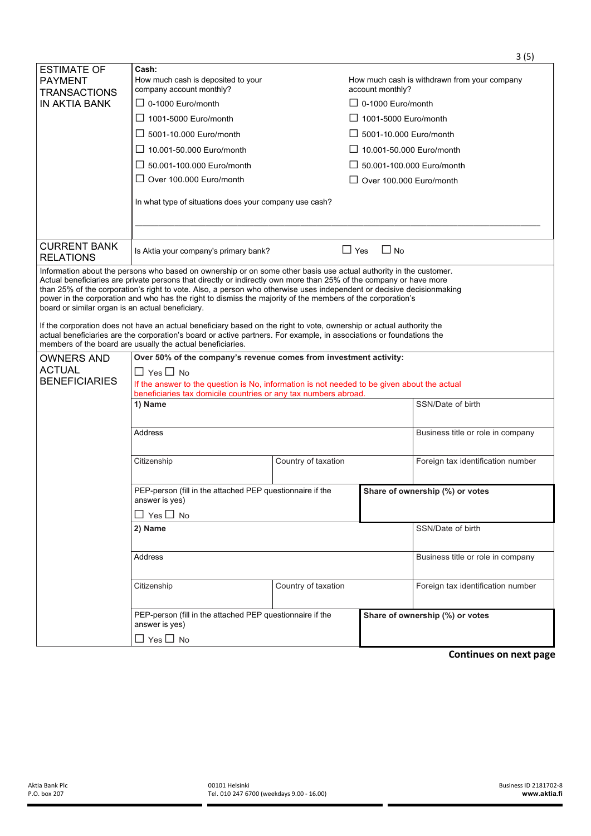|                                                             | PEP-person (fill in the attached PEP questionnaire if the<br>answer is yes)<br>$\Box$ Yes $\Box$ No<br>2) Name<br>Address<br>Citizenship<br>PEP-person (fill in the attached PEP questionnaire if the<br>answer is yes)<br>$\square$ Yes $\square$ No                                                                                                                                                                                                                          | Country of taxation               | Share of ownership (%) or votes<br>SSN/Date of birth<br>Business title or role in company<br>Foreign tax identification number<br>Share of ownership (%) or votes |  |  |
|-------------------------------------------------------------|--------------------------------------------------------------------------------------------------------------------------------------------------------------------------------------------------------------------------------------------------------------------------------------------------------------------------------------------------------------------------------------------------------------------------------------------------------------------------------|-----------------------------------|-------------------------------------------------------------------------------------------------------------------------------------------------------------------|--|--|
|                                                             |                                                                                                                                                                                                                                                                                                                                                                                                                                                                                |                                   |                                                                                                                                                                   |  |  |
|                                                             |                                                                                                                                                                                                                                                                                                                                                                                                                                                                                |                                   |                                                                                                                                                                   |  |  |
|                                                             |                                                                                                                                                                                                                                                                                                                                                                                                                                                                                |                                   |                                                                                                                                                                   |  |  |
|                                                             |                                                                                                                                                                                                                                                                                                                                                                                                                                                                                |                                   |                                                                                                                                                                   |  |  |
|                                                             |                                                                                                                                                                                                                                                                                                                                                                                                                                                                                |                                   |                                                                                                                                                                   |  |  |
|                                                             |                                                                                                                                                                                                                                                                                                                                                                                                                                                                                |                                   |                                                                                                                                                                   |  |  |
|                                                             |                                                                                                                                                                                                                                                                                                                                                                                                                                                                                |                                   |                                                                                                                                                                   |  |  |
|                                                             | Citizenship                                                                                                                                                                                                                                                                                                                                                                                                                                                                    | Country of taxation               | Foreign tax identification number                                                                                                                                 |  |  |
|                                                             | <b>Address</b>                                                                                                                                                                                                                                                                                                                                                                                                                                                                 | Business title or role in company |                                                                                                                                                                   |  |  |
|                                                             | 1) Name                                                                                                                                                                                                                                                                                                                                                                                                                                                                        | SSN/Date of birth                 |                                                                                                                                                                   |  |  |
|                                                             | If the answer to the question is No, information is not needed to be given about the actual<br>beneficiaries tax domicile countries or any tax numbers abroad.                                                                                                                                                                                                                                                                                                                 |                                   |                                                                                                                                                                   |  |  |
| <b>ACTUAL</b><br><b>BENEFICIARIES</b>                       | $\Box$ Yes $\Box$ No                                                                                                                                                                                                                                                                                                                                                                                                                                                           |                                   |                                                                                                                                                                   |  |  |
| <b>OWNERS AND</b>                                           | members of the board are usually the actual beneficiaries.<br>Over 50% of the company's revenue comes from investment activity:                                                                                                                                                                                                                                                                                                                                                |                                   |                                                                                                                                                                   |  |  |
|                                                             | If the corporation does not have an actual beneficiary based on the right to vote, ownership or actual authority the<br>actual beneficiaries are the corporation's board or active partners. For example, in associations or foundations the                                                                                                                                                                                                                                   |                                   |                                                                                                                                                                   |  |  |
| board or similar organ is an actual beneficiary.            | Information about the persons who based on ownership or on some other basis use actual authority in the customer.<br>Actual beneficiaries are private persons that directly or indirectly own more than 25% of the company or have more<br>than 25% of the corporation's right to vote. Also, a person who otherwise uses independent or decisive decisionmaking<br>power in the corporation and who has the right to dismiss the majority of the members of the corporation's |                                   |                                                                                                                                                                   |  |  |
| <b>CURRENT BANK</b><br><b>RELATIONS</b>                     | Is Aktia your company's primary bank?                                                                                                                                                                                                                                                                                                                                                                                                                                          | $\Box$ Yes                        | $\Box$ No                                                                                                                                                         |  |  |
|                                                             |                                                                                                                                                                                                                                                                                                                                                                                                                                                                                |                                   |                                                                                                                                                                   |  |  |
|                                                             | In what type of situations does your company use cash?                                                                                                                                                                                                                                                                                                                                                                                                                         |                                   |                                                                                                                                                                   |  |  |
|                                                             | $\Box$ Over 100.000 Euro/month                                                                                                                                                                                                                                                                                                                                                                                                                                                 |                                   | $\Box$ Over 100.000 Euro/month                                                                                                                                    |  |  |
|                                                             | $\Box$ 50.001-100.000 Euro/month                                                                                                                                                                                                                                                                                                                                                                                                                                               |                                   | $\Box$ 50.001-100.000 Euro/month                                                                                                                                  |  |  |
|                                                             | $\Box$ 10.001-50.000 Euro/month                                                                                                                                                                                                                                                                                                                                                                                                                                                |                                   | $\Box$ 10.001-50.000 Euro/month                                                                                                                                   |  |  |
|                                                             | $\Box$ 5001-10.000 Euro/month                                                                                                                                                                                                                                                                                                                                                                                                                                                  |                                   | $\Box$ 5001-10.000 Euro/month                                                                                                                                     |  |  |
|                                                             | $\Box$ 1001-5000 Euro/month                                                                                                                                                                                                                                                                                                                                                                                                                                                    |                                   | $\Box$ 1001-5000 Euro/month                                                                                                                                       |  |  |
|                                                             | company account monthly?<br>$\Box$ 0-1000 Euro/month                                                                                                                                                                                                                                                                                                                                                                                                                           |                                   | account monthly?<br>$\Box$ 0-1000 Euro/month                                                                                                                      |  |  |
| IN AKTIA BANK                                               | How much cash is deposited to your                                                                                                                                                                                                                                                                                                                                                                                                                                             |                                   | How much cash is withdrawn from your company                                                                                                                      |  |  |
| <b>ESTIMATE OF</b><br><b>PAYMENT</b><br><b>TRANSACTIONS</b> | Cash:                                                                                                                                                                                                                                                                                                                                                                                                                                                                          |                                   |                                                                                                                                                                   |  |  |

## **Continues on next page**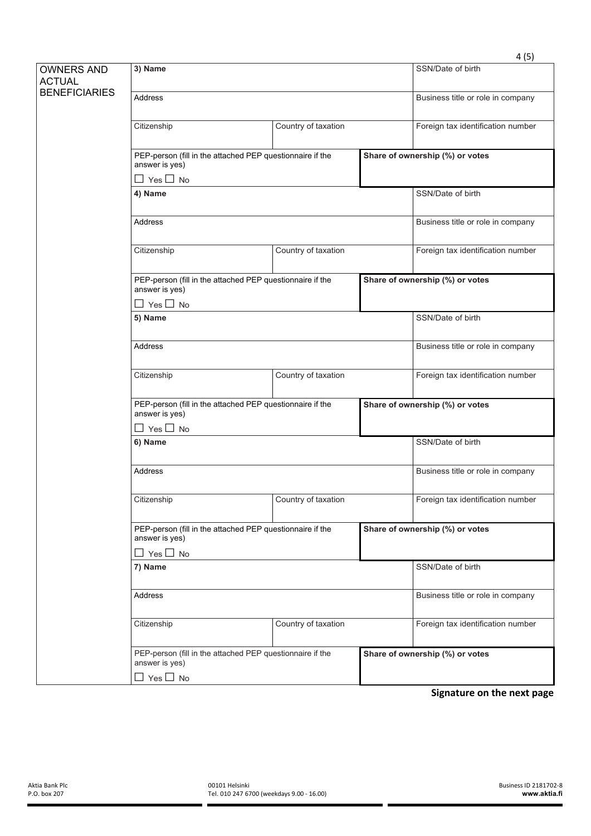|                                                            |                                                                             |                     |  | 4(5)                              |  |
|------------------------------------------------------------|-----------------------------------------------------------------------------|---------------------|--|-----------------------------------|--|
| <b>OWNERS AND</b><br><b>ACTUAL</b><br><b>BENEFICIARIES</b> | 3) Name                                                                     |                     |  | SSN/Date of birth                 |  |
|                                                            | <b>Address</b>                                                              |                     |  | Business title or role in company |  |
|                                                            | Citizenship                                                                 | Country of taxation |  | Foreign tax identification number |  |
|                                                            | PEP-person (fill in the attached PEP questionnaire if the<br>answer is yes) |                     |  | Share of ownership (%) or votes   |  |
|                                                            | $\square$ Yes $\square$ No                                                  |                     |  |                                   |  |
|                                                            | 4) Name                                                                     |                     |  | SSN/Date of birth                 |  |
|                                                            | <b>Address</b>                                                              |                     |  | Business title or role in company |  |
|                                                            | Citizenship                                                                 | Country of taxation |  | Foreign tax identification number |  |
|                                                            | PEP-person (fill in the attached PEP questionnaire if the<br>answer is yes) |                     |  | Share of ownership (%) or votes   |  |
|                                                            | $\Box$ Yes $\Box$ No                                                        |                     |  |                                   |  |
|                                                            | 5) Name                                                                     |                     |  | SSN/Date of birth                 |  |
|                                                            | <b>Address</b>                                                              |                     |  | Business title or role in company |  |
|                                                            | Citizenship                                                                 | Country of taxation |  | Foreign tax identification number |  |
|                                                            | PEP-person (fill in the attached PEP questionnaire if the<br>answer is yes) |                     |  | Share of ownership (%) or votes   |  |
|                                                            | $\square$ Yes $\square$ No                                                  |                     |  |                                   |  |
|                                                            | 6) Name                                                                     |                     |  | SSN/Date of birth                 |  |
|                                                            | <b>Address</b>                                                              |                     |  | Business title or role in company |  |
|                                                            | Citizenship                                                                 | Country of taxation |  | Foreign tax identification number |  |
|                                                            | PEP-person (fill in the attached PEP questionnaire if the<br>answer is yes) |                     |  | Share of ownership (%) or votes   |  |
|                                                            | $\square$ Yes $\square$ No                                                  |                     |  |                                   |  |
|                                                            | 7) Name                                                                     |                     |  | SSN/Date of birth                 |  |
|                                                            | <b>Address</b>                                                              |                     |  | Business title or role in company |  |
|                                                            | Citizenship                                                                 | Country of taxation |  | Foreign tax identification number |  |
|                                                            | PEP-person (fill in the attached PEP questionnaire if the<br>answer is yes) |                     |  | Share of ownership (%) or votes   |  |
|                                                            | $\square$ Yes $\square$ No                                                  |                     |  |                                   |  |

**Signature on the next page**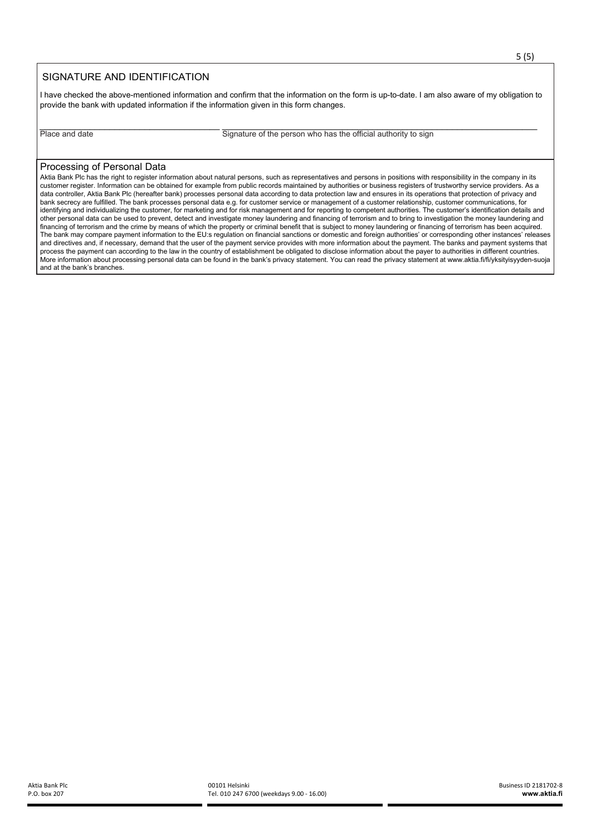## SIGNATURE AND IDENTIFICATION

I have checked the above-mentioned information and confirm that the information on the form is up-to-date. I am also aware of my obligation to provide the bank with updated information if the information given in this form changes.

\_\_\_\_\_\_\_\_\_\_\_\_\_\_\_\_\_\_\_\_\_\_\_\_\_\_\_\_\_\_\_\_\_\_\_\_ \_\_\_\_\_\_\_\_\_\_\_\_\_\_\_\_\_\_\_\_\_\_\_\_\_\_\_\_\_\_\_\_\_\_\_\_\_\_\_\_\_\_\_\_\_\_\_\_\_\_\_\_\_\_\_\_\_\_\_\_\_\_\_ Place and date Signature of the person who has the official authority to sign

## Processing of Personal Data

Aktia Bank Plc has the right to register information about natural persons, such as representatives and persons in positions with responsibility in the company in its customer register. Information can be obtained for example from public records maintained by authorities or business registers of trustworthy service providers. As a data controller, Aktia Bank Plc (hereafter bank) processes personal data according to data protection law and ensures in its operations that protection of privacy and bank secrecy are fulfilled. The bank processes personal data e.g. for customer service or management of a customer relationship, customer communications, for identifying and individualizing the customer, for marketing and for risk management and for reporting to competent authorities. The customer's identification details and other personal data can be used to prevent, detect and investigate money laundering and financing of terrorism and to bring to investigation the money laundering and financing of terrorism and the crime by means of which the property or criminal benefit that is subject to money laundering or financing of terrorism has been acquired. The bank may compare payment information to the EU:s regulation on financial sanctions or domestic and foreign authorities' or corresponding other instances' releases and directives and, if necessary, demand that the user of the payment service provides with more information about the payment. The banks and payment systems that process the payment can according to the law in the country of establishment be obligated to disclose information about the payer to authorities in different countries. More information about processing personal data can be found in the bank's privacy statement. You can read the privacy statement at www.aktia.fi/fi/yksityisyyden-suoja and at the bank's branches.